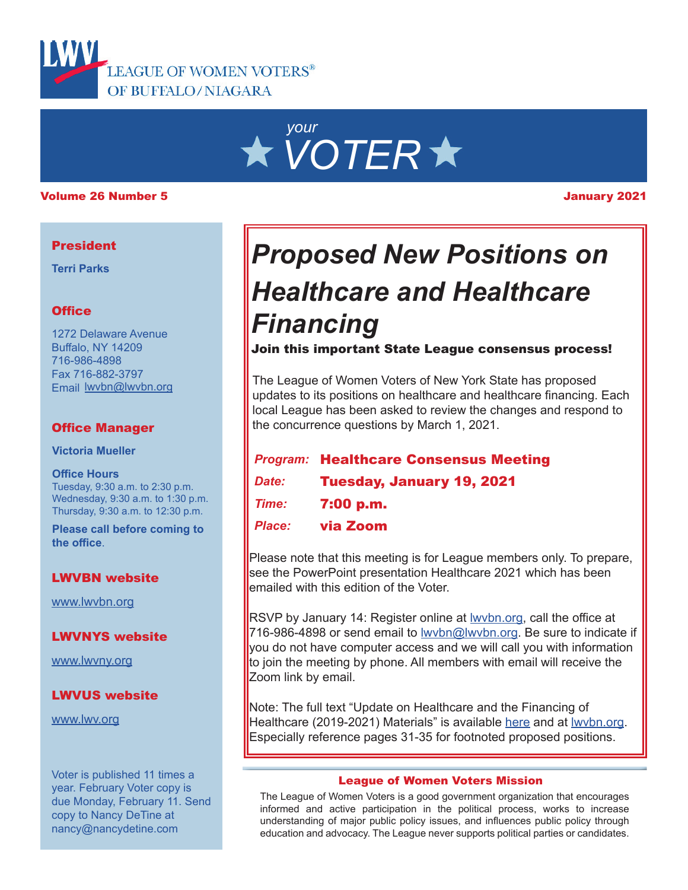

# *your VOTER*

#### Volume 26 Number 5 January 2021

# **President**

**Terri Parks**

### **Office**

1272 Delaware Avenue Buffalo, NY 14209 716-986-4898 Fax 716-882-3797 Email lwvbn@lwvbn.org

### Office Manager

**Victoria Mueller**

**Office Hours** Tuesday, 9:30 a.m. to 2:30 p.m. Wednesday, 9:30 a.m. to 1:30 p.m. Thursday, 9:30 a.m. to 12:30 p.m.

**Please call before coming to the office**.

#### LWVBN website

[www.lwvbn.org](https://www.lwvbn.org/)

#### LWVNYS website

[www.lwvny.org](https://www.lwvny.org/)

#### LWVUS website

[www.lwv.org](https://www.lwv.org/)

Voter is published 11 times a year. February Voter copy is due Monday, February 11. Send copy to Nancy DeTine at nancy@nancydetine.com

# *Proposed New Positions on Healthcare and Healthcare Financing*

Join this important State League consensus process!

The League of Women Voters of New York State has proposed updates to its positions on healthcare and healthcare financing. Each local League has been asked to review the changes and respond to the concurrence questions by March 1, 2021.

# *Program:* Healthcare Consensus Meeting

- *Date:* Tuesday, January 19, 2021
- *Time:* 7:00 p.m.
- *Place:* via Zoom

Please note that this meeting is for League members only. To prepare, see the PowerPoint presentation Healthcare 2021 which has been emailed with this edition of the Voter.

RSVP by January 14: Register online at **wybn.org**, call the office at 716-986-4898 or send email to lwybn@lwybn.org. Be sure to indicate if you do not have computer access and we will call you with information to join the meeting by phone. All members with email will receive the Zoom link by email.

Note: The full text "Update on Healthcare and the Financing of Healthcare (2019-2021) Materials" is available [here](https://www.lwvnyonline.org/LLresources/SBR_StateNews/2020/september/Full-packet-for-HC-Update-Sept-25-2020.pdf) and at wybn.org. Especially reference pages 31-35 for footnoted proposed positions.

#### League of Women Voters Mission

The League of Women Voters is a good government organization that encourages informed and active participation in the political process, works to increase understanding of major public policy issues, and influences public policy through education and advocacy. The League never supports political parties or candidates.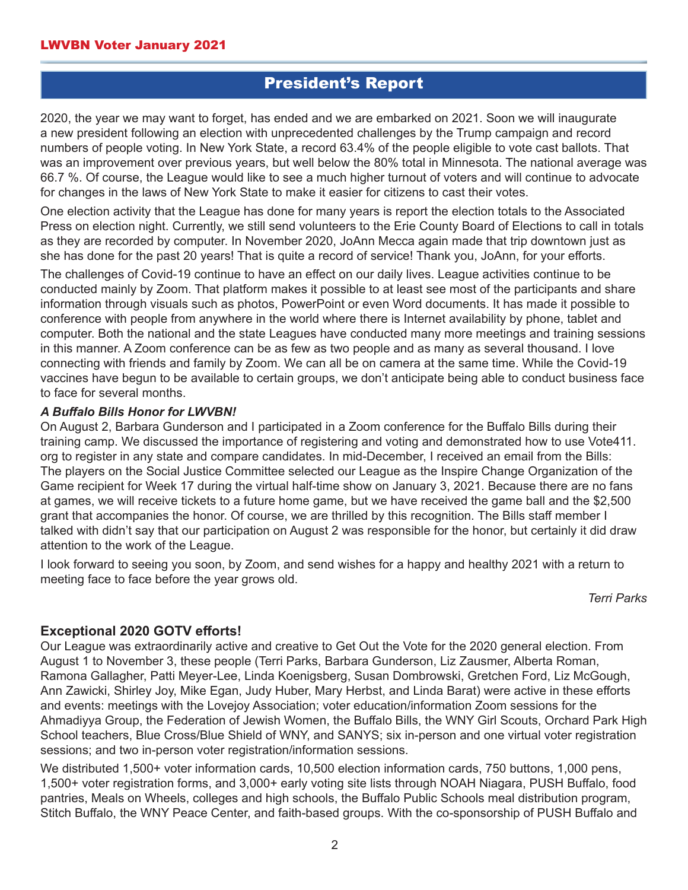# President's Report

2020, the year we may want to forget, has ended and we are embarked on 2021. Soon we will inaugurate a new president following an election with unprecedented challenges by the Trump campaign and record numbers of people voting. In New York State, a record 63.4% of the people eligible to vote cast ballots. That was an improvement over previous years, but well below the 80% total in Minnesota. The national average was 66.7 %. Of course, the League would like to see a much higher turnout of voters and will continue to advocate for changes in the laws of New York State to make it easier for citizens to cast their votes.

One election activity that the League has done for many years is report the election totals to the Associated Press on election night. Currently, we still send volunteers to the Erie County Board of Elections to call in totals as they are recorded by computer. In November 2020, JoAnn Mecca again made that trip downtown just as she has done for the past 20 years! That is quite a record of service! Thank you, JoAnn, for your efforts.

The challenges of Covid-19 continue to have an effect on our daily lives. League activities continue to be conducted mainly by Zoom. That platform makes it possible to at least see most of the participants and share information through visuals such as photos, PowerPoint or even Word documents. It has made it possible to conference with people from anywhere in the world where there is Internet availability by phone, tablet and computer. Both the national and the state Leagues have conducted many more meetings and training sessions in this manner. A Zoom conference can be as few as two people and as many as several thousand. I love connecting with friends and family by Zoom. We can all be on camera at the same time. While the Covid-19 vaccines have begun to be available to certain groups, we don't anticipate being able to conduct business face to face for several months.

#### *A Buffalo Bills Honor for LWVBN!*

On August 2, Barbara Gunderson and I participated in a Zoom conference for the Buffalo Bills during their training camp. We discussed the importance of registering and voting and demonstrated how to use Vote411. org to register in any state and compare candidates. In mid-December, I received an email from the Bills: The players on the Social Justice Committee selected our League as the Inspire Change Organization of the Game recipient for Week 17 during the virtual half-time show on January 3, 2021. Because there are no fans at games, we will receive tickets to a future home game, but we have received the game ball and the \$2,500 grant that accompanies the honor. Of course, we are thrilled by this recognition. The Bills staff member I talked with didn't say that our participation on August 2 was responsible for the honor, but certainly it did draw attention to the work of the League.

I look forward to seeing you soon, by Zoom, and send wishes for a happy and healthy 2021 with a return to meeting face to face before the year grows old.

*Terri Parks*

# **Exceptional 2020 GOTV efforts!**

Our League was extraordinarily active and creative to Get Out the Vote for the 2020 general election. From August 1 to November 3, these people (Terri Parks, Barbara Gunderson, Liz Zausmer, Alberta Roman, Ramona Gallagher, Patti Meyer-Lee, Linda Koenigsberg, Susan Dombrowski, Gretchen Ford, Liz McGough, Ann Zawicki, Shirley Joy, Mike Egan, Judy Huber, Mary Herbst, and Linda Barat) were active in these efforts and events: meetings with the Lovejoy Association; voter education/information Zoom sessions for the Ahmadiyya Group, the Federation of Jewish Women, the Buffalo Bills, the WNY Girl Scouts, Orchard Park High School teachers, Blue Cross/Blue Shield of WNY, and SANYS; six in-person and one virtual voter registration sessions; and two in-person voter registration/information sessions.

We distributed 1,500+ voter information cards, 10,500 election information cards, 750 buttons, 1,000 pens, 1,500+ voter registration forms, and 3,000+ early voting site lists through NOAH Niagara, PUSH Buffalo, food pantries, Meals on Wheels, colleges and high schools, the Buffalo Public Schools meal distribution program, Stitch Buffalo, the WNY Peace Center, and faith-based groups. With the co-sponsorship of PUSH Buffalo and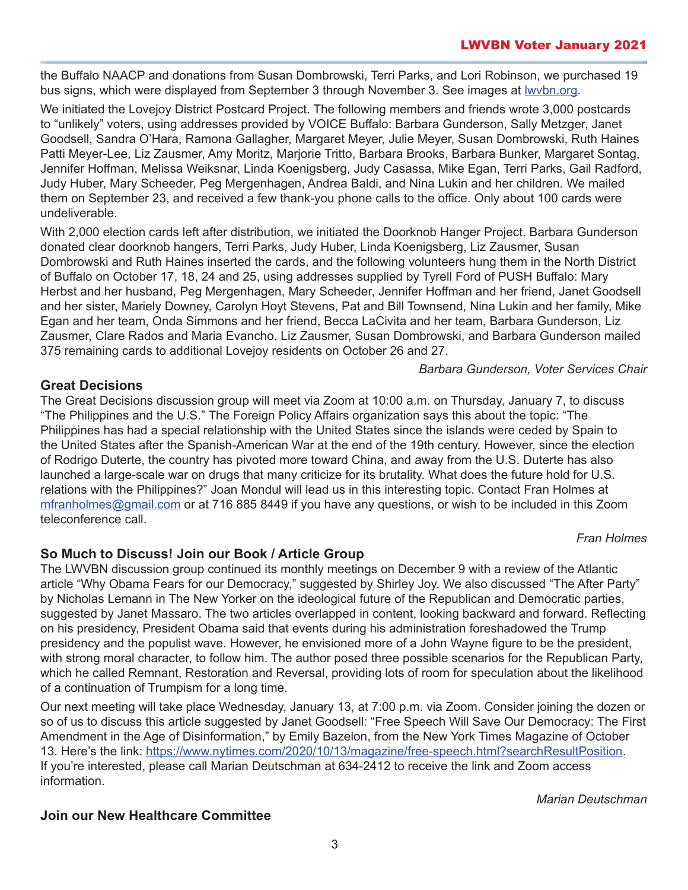the Buffalo NAACP and donations from Susan Dombrowski, Terri Parks, and Lori Robinson, we purchased 19 bus signs, which were displayed from September 3 through November 3. See images at [lwvbn.org](https://www. lwvbn.org).

We initiated the Lovejoy District Postcard Project. The following members and friends wrote 3,000 postcards to "unlikely" voters, using addresses provided by VOICE Buffalo: Barbara Gunderson, Sally Metzger, Janet Goodsell, Sandra O'Hara, Ramona Gallagher, Margaret Meyer, Julie Meyer, Susan Dombrowski, Ruth Haines Patti Meyer-Lee, Liz Zausmer, Amy Moritz, Marjorie Tritto, Barbara Brooks, Barbara Bunker, Margaret Sontag, Jennifer Hoffman, Melissa Weiksnar, Linda Koenigsberg, Judy Casassa, Mike Egan, Terri Parks, Gail Radford, Judy Huber, Mary Scheeder, Peg Mergenhagen, Andrea Baldi, and Nina Lukin and her children. We mailed them on September 23, and received a few thank-you phone calls to the office. Only about 100 cards were undeliverable.

With 2,000 election cards left after distribution, we initiated the Doorknob Hanger Project. Barbara Gunderson donated clear doorknob hangers, Terri Parks, Judy Huber, Linda Koenigsberg, Liz Zausmer, Susan Dombrowski and Ruth Haines inserted the cards, and the following volunteers hung them in the North District of Buffalo on October 17, 18, 24 and 25, using addresses supplied by Tyrell Ford of PUSH Buffalo: Mary Herbst and her husband, Peg Mergenhagen, Mary Scheeder, Jennifer Hoffman and her friend, Janet Goodsell and her sister, Mariely Downey, Carolyn Hoyt Stevens, Pat and Bill Townsend, Nina Lukin and her family, Mike Egan and her team, Onda Simmons and her friend, Becca LaCivita and her team, Barbara Gunderson, Liz Zausmer, Clare Rados and Maria Evancho. Liz Zausmer, Susan Dombrowski, and Barbara Gunderson mailed 375 remaining cards to additional Lovejoy residents on October 26 and 27.

*Barbara Gunderson, Voter Services Chair*

# **Great Decisions**

The Great Decisions discussion group will meet via Zoom at 10:00 a.m. on Thursday, January 7, to discuss "The Philippines and the U.S." The Foreign Policy Affairs organization says this about the topic: "The Philippines has had a special relationship with the United States since the islands were ceded by Spain to the United States after the Spanish-American War at the end of the 19th century. However, since the election of Rodrigo Duterte, the country has pivoted more toward China, and away from the U.S. Duterte has also launched a large-scale war on drugs that many criticize for its brutality. What does the future hold for U.S. relations with the Philippines?" Joan Mondul will lead us in this interesting topic. Contact Fran Holmes at [mfranholmes@gmail](mailto://mfranholmes@gmail.com).com or at 716 885 8449 if you have any questions, or wish to be included in this Zoom teleconference call.

*Fran Holmes*

# **So Much to Discuss! Join our Book / Article Group**

The LWVBN discussion group continued its monthly meetings on December 9 with a review of the Atlantic article "Why Obama Fears for our Democracy," suggested by Shirley Joy. We also discussed "The After Party" by Nicholas Lemann in The New Yorker on the ideological future of the Republican and Democratic parties, suggested by Janet Massaro. The two articles overlapped in content, looking backward and forward. Reflecting on his presidency, President Obama said that events during his administration foreshadowed the Trump presidency and the populist wave. However, he envisioned more of a John Wayne figure to be the president, with strong moral character, to follow him. The author posed three possible scenarios for the Republican Party, which he called Remnant, Restoration and Reversal, providing lots of room for speculation about the likelihood of a continuation of Trumpism for a long time.

Our next meeting will take place Wednesday, January 13, at 7:00 p.m. via Zoom. Consider joining the dozen or so of us to discuss this article suggested by Janet Goodsell: "Free Speech Will Save Our Democracy: The First Amendment in the Age of Disinformation," by Emily Bazelon, from the New York Times Magazine of October 13. Here's the link: <https://www.nytimes.com/2020/10/13/magazine/free-speech.html?searchResultPosition>. If you're interested, please call Marian Deutschman at 634-2412 to receive the link and Zoom access information.

# **Join our New Healthcare Committee**

*Marian Deutschman*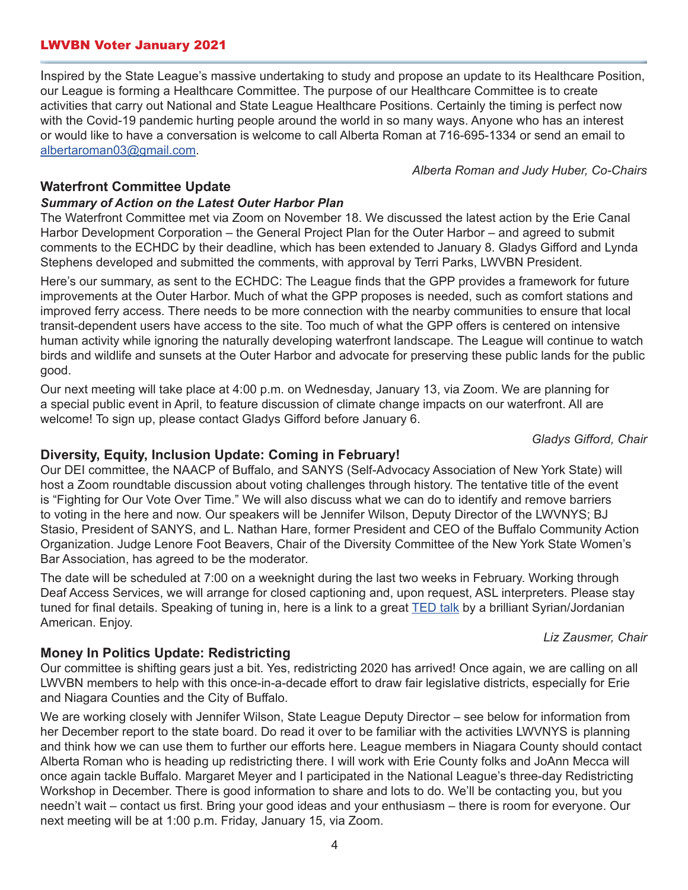#### LWVBN Voter January 2021

Inspired by the State League's massive undertaking to study and propose an update to its Healthcare Position, our League is forming a Healthcare Committee. The purpose of our Healthcare Committee is to create activities that carry out National and State League Healthcare Positions. Certainly the timing is perfect now with the Covid-19 pandemic hurting people around the world in so many ways. Anyone who has an interest or would like to have a conversation is welcome to call Alberta Roman at 716-695-1334 or send an email to [albertaroman03@gmail.com](mailto://albertaroman03@gmail.com).

*Alberta Roman and Judy Huber, Co-Chairs*

#### **Waterfront Committee Update**

#### *Summary of Action on the Latest Outer Harbor Plan*

The Waterfront Committee met via Zoom on November 18. We discussed the latest action by the Erie Canal Harbor Development Corporation – the General Project Plan for the Outer Harbor – and agreed to submit comments to the ECHDC by their deadline, which has been extended to January 8. Gladys Gifford and Lynda Stephens developed and submitted the comments, with approval by Terri Parks, LWVBN President.

Here's our summary, as sent to the ECHDC: The League finds that the GPP provides a framework for future improvements at the Outer Harbor. Much of what the GPP proposes is needed, such as comfort stations and improved ferry access. There needs to be more connection with the nearby communities to ensure that local transit-dependent users have access to the site. Too much of what the GPP offers is centered on intensive human activity while ignoring the naturally developing waterfront landscape. The League will continue to watch birds and wildlife and sunsets at the Outer Harbor and advocate for preserving these public lands for the public good.

Our next meeting will take place at 4:00 p.m. on Wednesday, January 13, via Zoom. We are planning for a special public event in April, to feature discussion of climate change impacts on our waterfront. All are welcome! To sign up, please contact Gladys Gifford before January 6.

*Gladys Gifford, Chair*

#### **Diversity, Equity, Inclusion Update: Coming in February!**

Our DEI committee, the NAACP of Buffalo, and SANYS (Self-Advocacy Association of New York State) will host a Zoom roundtable discussion about voting challenges through history. The tentative title of the event is "Fighting for Our Vote Over Time." We will also discuss what we can do to identify and remove barriers to voting in the here and now. Our speakers will be Jennifer Wilson, Deputy Director of the LWVNYS; BJ Stasio, President of SANYS, and L. Nathan Hare, former President and CEO of the Buffalo Community Action Organization. Judge Lenore Foot Beavers, Chair of the Diversity Committee of the New York State Women's Bar Association, has agreed to be the moderator.

The date will be scheduled at 7:00 on a weeknight during the last two weeks in February. Working through Deaf Access Services, we will arrange for closed captioning and, upon request, ASL interpreters. Please stay tuned for final details. Speaking of tuning in, here is a link to a great [TED talk](https://www.ted.com/talks/luma_mufleh_don_t_feel_sorry_for_refugees_believe_in_them
) by a brilliant Syrian/Jordanian American. Enjoy.

*Liz Zausmer, Chair*

# **Money In Politics Update: Redistricting**

Our committee is shifting gears just a bit. Yes, redistricting 2020 has arrived! Once again, we are calling on all LWVBN members to help with this once-in-a-decade effort to draw fair legislative districts, especially for Erie and Niagara Counties and the City of Buffalo.

We are working closely with Jennifer Wilson, State League Deputy Director – see below for information from her December report to the state board. Do read it over to be familiar with the activities LWVNYS is planning and think how we can use them to further our efforts here. League members in Niagara County should contact Alberta Roman who is heading up redistricting there. I will work with Erie County folks and JoAnn Mecca will once again tackle Buffalo. Margaret Meyer and I participated in the National League's three-day Redistricting Workshop in December. There is good information to share and lots to do. We'll be contacting you, but you needn't wait – contact us first. Bring your good ideas and your enthusiasm – there is room for everyone. Our next meeting will be at 1:00 p.m. Friday, January 15, via Zoom.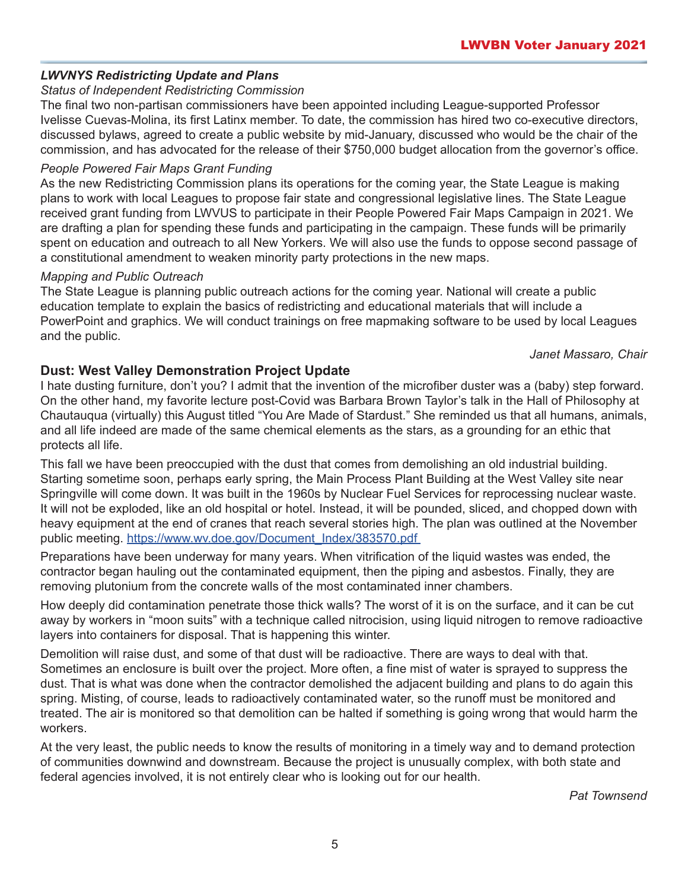# *LWVNYS Redistricting Update and Plans*

## *Status of Independent Redistricting Commission*

The final two non-partisan commissioners have been appointed including League-supported Professor Ivelisse Cuevas-Molina, its first Latinx member. To date, the commission has hired two co-executive directors, discussed bylaws, agreed to create a public website by mid-January, discussed who would be the chair of the commission, and has advocated for the release of their \$750,000 budget allocation from the governor's office.

#### *People Powered Fair Maps Grant Funding*

As the new Redistricting Commission plans its operations for the coming year, the State League is making plans to work with local Leagues to propose fair state and congressional legislative lines. The State League received grant funding from LWVUS to participate in their People Powered Fair Maps Campaign in 2021. We are drafting a plan for spending these funds and participating in the campaign. These funds will be primarily spent on education and outreach to all New Yorkers. We will also use the funds to oppose second passage of a constitutional amendment to weaken minority party protections in the new maps.

#### *Mapping and Public Outreach*

The State League is planning public outreach actions for the coming year. National will create a public education template to explain the basics of redistricting and educational materials that will include a PowerPoint and graphics. We will conduct trainings on free mapmaking software to be used by local Leagues and the public.

*Janet Massaro, Chair*

# **Dust: West Valley Demonstration Project Update**

I hate dusting furniture, don't you? I admit that the invention of the microfiber duster was a (baby) step forward. On the other hand, my favorite lecture post-Covid was Barbara Brown Taylor's talk in the Hall of Philosophy at Chautauqua (virtually) this August titled "You Are Made of Stardust." She reminded us that all humans, animals, and all life indeed are made of the same chemical elements as the stars, as a grounding for an ethic that protects all life.

This fall we have been preoccupied with the dust that comes from demolishing an old industrial building. Starting sometime soon, perhaps early spring, the Main Process Plant Building at the West Valley site near Springville will come down. It was built in the 1960s by Nuclear Fuel Services for reprocessing nuclear waste. It will not be exploded, like an old hospital or hotel. Instead, it will be pounded, sliced, and chopped down with heavy equipment at the end of cranes that reach several stories high. The plan was outlined at the November public meeting. [https://www.wv.doe.gov/Document\\_Index/383570.pdf](https://www.wv.doe.gov/Document_Index/383570.pdf )

Preparations have been underway for many years. When vitrification of the liquid wastes was ended, the contractor began hauling out the contaminated equipment, then the piping and asbestos. Finally, they are removing plutonium from the concrete walls of the most contaminated inner chambers.

How deeply did contamination penetrate those thick walls? The worst of it is on the surface, and it can be cut away by workers in "moon suits" with a technique called nitrocision, using liquid nitrogen to remove radioactive layers into containers for disposal. That is happening this winter.

Demolition will raise dust, and some of that dust will be radioactive. There are ways to deal with that. Sometimes an enclosure is built over the project. More often, a fine mist of water is sprayed to suppress the dust. That is what was done when the contractor demolished the adjacent building and plans to do again this spring. Misting, of course, leads to radioactively contaminated water, so the runoff must be monitored and treated. The air is monitored so that demolition can be halted if something is going wrong that would harm the workers.

At the very least, the public needs to know the results of monitoring in a timely way and to demand protection of communities downwind and downstream. Because the project is unusually complex, with both state and federal agencies involved, it is not entirely clear who is looking out for our health.

*Pat Townsend*